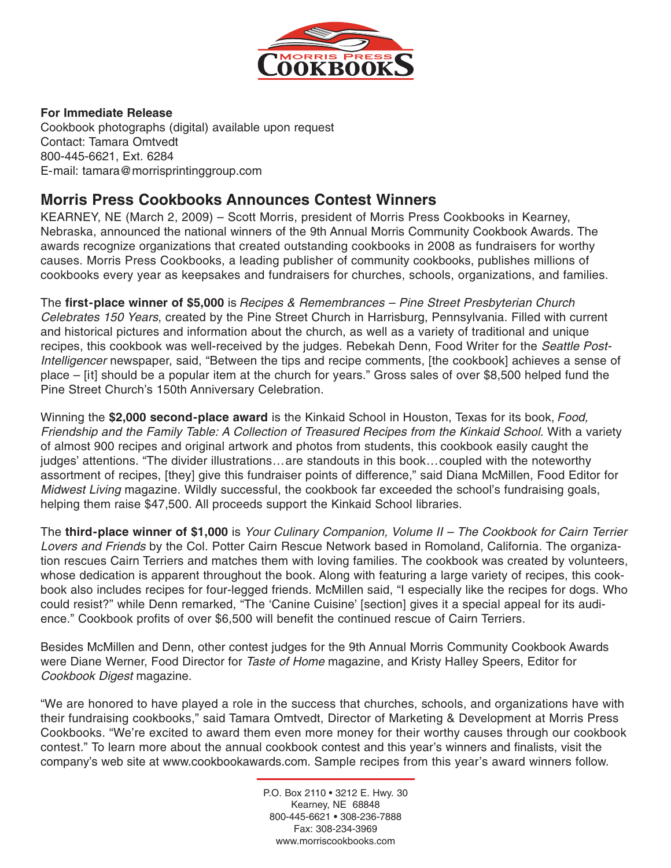

#### **For Immediate Release**

Cookbook photographs (digital) available upon request Contact: Tamara Omtvedt 800-445-6621, Ext. 6284 E-mail: tamara@morrisprintinggroup.com

# **Morris Press Cookbooks Announces Contest Winners**

KEARNEY, NE (March 2, 2009) – Scott Morris, president of Morris Press Cookbooks in Kearney, Nebraska, announced the national winners of the 9th Annual Morris Community Cookbook Awards. The awards recognize organizations that created outstanding cookbooks in 2008 as fundraisers for worthy causes. Morris Press Cookbooks, a leading publisher of community cookbooks, publishes millions of cookbooks every year as keepsakes and fundraisers for churches, schools, organizations, and families.

The **first-place winner of \$5,000** is Recipes & Remembrances – Pine Street Presbyterian Church Celebrates 150 Years, created by the Pine Street Church in Harrisburg, Pennsylvania. Filled with current and historical pictures and information about the church, as well as a variety of traditional and unique recipes, this cookbook was well-received by the judges. Rebekah Denn, Food Writer for the Seattle Post-Intelligencer newspaper, said, "Between the tips and recipe comments, [the cookbook] achieves a sense of place – [it] should be a popular item at the church for years." Gross sales of over \$8,500 helped fund the Pine Street Church's 150th Anniversary Celebration.

Winning the **\$2,000 second-place award** is the Kinkaid School in Houston, Texas for its book, Food, Friendship and the Family Table: A Collection of Treasured Recipes from the Kinkaid School. With a variety of almost 900 recipes and original artwork and photos from students, this cookbook easily caught the judges' attentions. "The divider illustrations...are standouts in this book...coupled with the noteworthy assortment of recipes, [they] give this fundraiser points of difference," said Diana McMillen, Food Editor for Midwest Living magazine. Wildly successful, the cookbook far exceeded the school's fundraising goals, helping them raise \$47,500. All proceeds support the Kinkaid School libraries.

The **third-place winner of \$1,000** is Your Culinary Companion, Volume II – The Cookbook for Cairn Terrier Lovers and Friends by the Col. Potter Cairn Rescue Network based in Romoland, California. The organization rescues Cairn Terriers and matches them with loving families. The cookbook was created by volunteers, whose dedication is apparent throughout the book. Along with featuring a large variety of recipes, this cookbook also includes recipes for four-legged friends. McMillen said, "I especially like the recipes for dogs. Who could resist?" while Denn remarked, "The 'Canine Cuisine' [section] gives it a special appeal for its audience." Cookbook profits of over \$6,500 will benefit the continued rescue of Cairn Terriers.

Besides McMillen and Denn, other contest judges for the 9th Annual Morris Community Cookbook Awards were Diane Werner, Food Director for Taste of Home magazine, and Kristy Halley Speers, Editor for Cookbook Digest magazine.

"We are honored to have played a role in the success that churches, schools, and organizations have with their fundraising cookbooks," said Tamara Omtvedt, Director of Marketing & Development at Morris Press Cookbooks. "We're excited to award them even more money for their worthy causes through our cookbook contest." To learn more about the annual cookbook contest and this year's winners and finalists, visit the company's web site at www.cookbookawards.com. Sample recipes from this year's award winners follow.

> P.O. Box 2110 • 3212 E. Hwy. 30 Kearney, NE 68848 800-445-6621 • 308-236-7888 Fax: 308-234-3969 www.morriscookbooks.com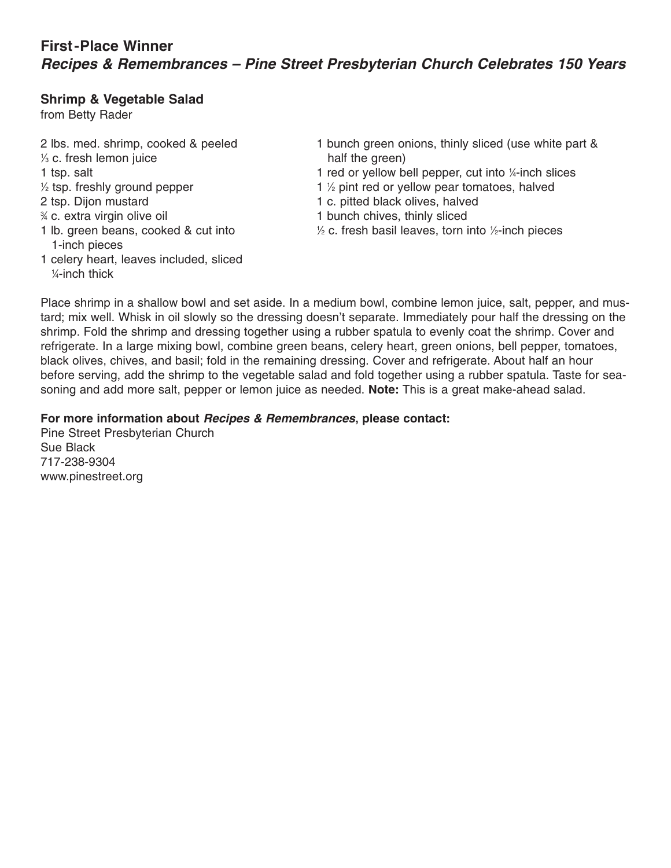# **First-Place Winner Recipes & Remembrances – Pine Street Presbyterian Church Celebrates 150 Years**

#### **Shrimp & Vegetable Salad**

from Betty Rader

⁄4-inch thick

 $\frac{1}{3}$  c. fresh lemon juice half the green)  $\frac{1}{2}$  tsp. freshly ground pepper  $\frac{1}{2}$ 2 tsp. Dijon mustard 1 c. pitted black olives, halved % c. extra virgin olive oil 1 lb. green beans, cooked & cut into 1 1-inch pieces 1 celery heart, leaves included, sliced 1

2 lbs. med. shrimp, cooked & peeled 1 bunch green onions, thinly sliced (use white part &

- 1 tsp. salt 1 red or yellow bell pepper, cut into 1/4-inch slices
	- 1 <sup>1</sup>/<sub>2</sub> pint red or yellow pear tomatoes, halved
	-
	- 1 bunch chives, thinly sliced
	- $\frac{1}{2}$  c. fresh basil leaves, torn into  $\frac{1}{2}$ -inch pieces

Place shrimp in a shallow bowl and set aside. In a medium bowl, combine lemon juice, salt, pepper, and mustard; mix well. Whisk in oil slowly so the dressing doesn't separate. Immediately pour half the dressing on the shrimp. Fold the shrimp and dressing together using a rubber spatula to evenly coat the shrimp. Cover and refrigerate. In a large mixing bowl, combine green beans, celery heart, green onions, bell pepper, tomatoes, black olives, chives, and basil; fold in the remaining dressing. Cover and refrigerate. About half an hour before serving, add the shrimp to the vegetable salad and fold together using a rubber spatula. Taste for seasoning and add more salt, pepper or lemon juice as needed. **Note:** This is a great make-ahead salad.

### **For more information about Recipes & Remembrances, please contact:**

Pine Street Presbyterian Church Sue Black 717-238-9304 www.pinestreet.org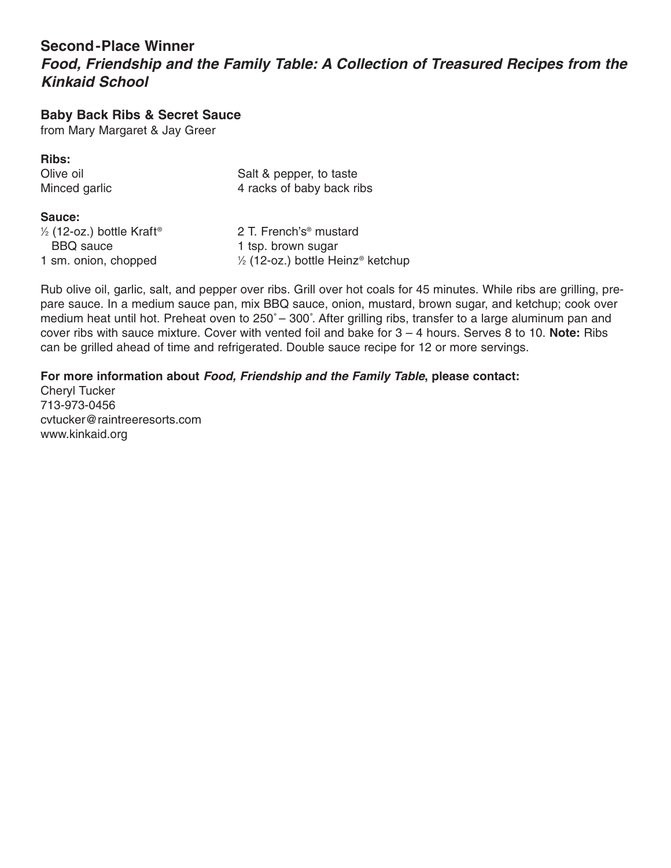# **Second-Place Winner**

**Food, Friendship and the Family Table: A Collection of Treasured Recipes from the Kinkaid School** 

**Baby Back Ribs & Secret Sauce**

from Mary Margaret & Jay Greer

**Ribs:**

Olive oil **Salt & pepper, to taste** Minced garlic 4 racks of baby back ribs

#### **Sauce:**

| $\frac{1}{2}$ (12-oz.) bottle Kraft <sup>®</sup> | 2 T. French's <sup>®</sup> mustard                       |
|--------------------------------------------------|----------------------------------------------------------|
| <b>BBQ</b> sauce                                 | 1 tsp. brown sugar                                       |
| 1 sm. onion, chopped                             | $\frac{1}{2}$ (12-oz.) bottle Heinz <sup>®</sup> ketchup |

Rub olive oil, garlic, salt, and pepper over ribs. Grill over hot coals for 45 minutes. While ribs are grilling, prepare sauce. In a medium sauce pan, mix BBQ sauce, onion, mustard, brown sugar, and ketchup; cook over medium heat until hot. Preheat oven to 250˚ – 300˚. After grilling ribs, transfer to a large aluminum pan and cover ribs with sauce mixture. Cover with vented foil and bake for 3 – 4 hours. Serves 8 to 10. **Note:** Ribs can be grilled ahead of time and refrigerated. Double sauce recipe for 12 or more servings.

### **For more information about Food, Friendship and the Family Table, please contact:**

Cheryl Tucker 713-973-0456 cvtucker@raintreeresorts.com www.kinkaid.org